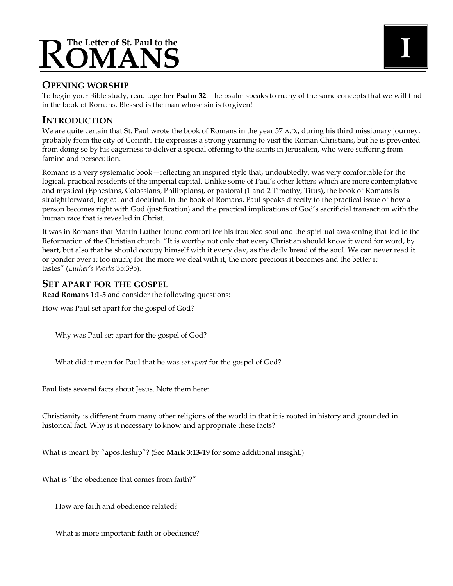# **The Letter of St. Paul to the** R**OMANS <sup>I</sup>**

# **OPENING WORSHIP**

To begin your Bible study, read together **Psalm 32**. The psalm speaks to many of the same concepts that we will find in the book of Romans. Blessed is the man whose sin is forgiven!

# **INTRODUCTION**

We are quite certain that St. Paul wrote the book of Romans in the year 57 A.D., during his third missionary journey, probably from the city of Corinth. He expresses a strong yearning to visit the Roman Christians, but he is prevented from doing so by his eagerness to deliver a special offering to the saints in Jerusalem, who were suffering from famine and persecution.

Romans is a very systematic book—reflecting an inspired style that, undoubtedly, was very comfortable for the logical, practical residents of the imperial capital. Unlike some of Paul's other letters which are more contemplative and mystical (Ephesians, Colossians, Philippians), or pastoral (1 and 2 Timothy, Titus), the book of Romans is straightforward, logical and doctrinal. In the book of Romans, Paul speaks directly to the practical issue of how a person becomes right with God (justification) and the practical implications of God's sacrificial transaction with the human race that is revealed in Christ.

It was in Romans that Martin Luther found comfort for his troubled soul and the spiritual awakening that led to the Reformation of the Christian church. "It is worthy not only that every Christian should know it word for word, by heart, but also that he should occupy himself with it every day, as the daily bread of the soul. We can never read it or ponder over it too much; for the more we deal with it, the more precious it becomes and the better it tastes" (*Luther's Works* 35:395)*.*

# **SET APART FOR THE GOSPEL**

**Read Romans 1:1-5** and consider the following questions:

How was Paul set apart for the gospel of God?

Why was Paul set apart for the gospel of God?

What did it mean for Paul that he was *set apart* for the gospel of God?

Paul lists several facts about Jesus. Note them here:

Christianity is different from many other religions of the world in that it is rooted in history and grounded in historical fact. Why is it necessary to know and appropriate these facts?

What is meant by "apostleship"? (See **Mark 3:13-19** for some additional insight.)

What is "the obedience that comes from faith?"

How are faith and obedience related?

What is more important: faith or obedience?